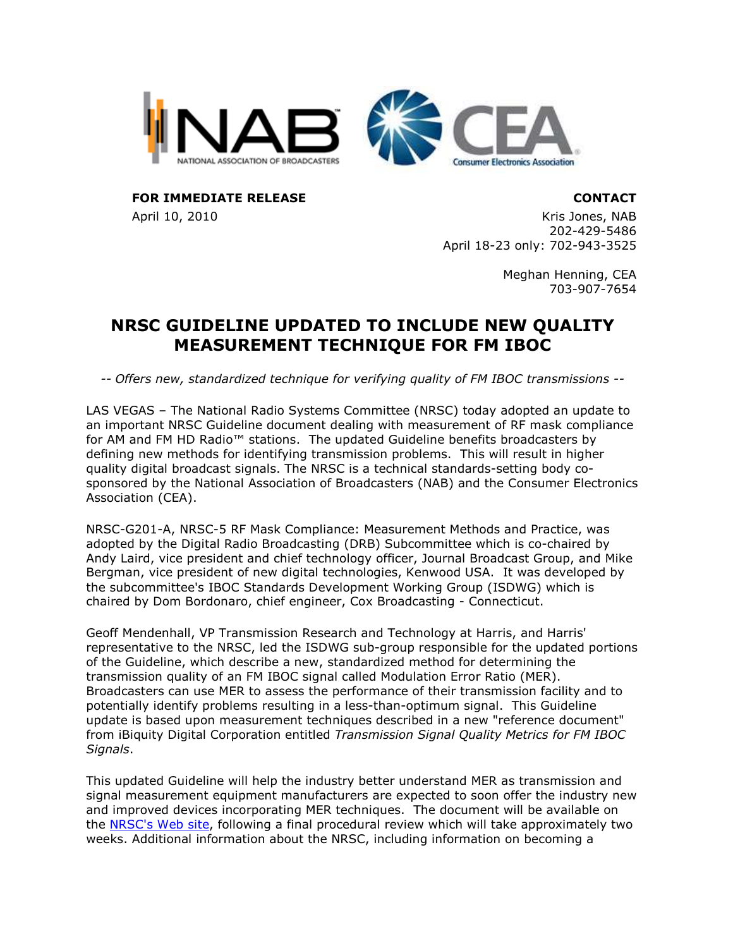



FOR IMMEDIATE RELEASE **CONTACT** 

April 10, 2010 **Kris Jones, NAB** 202-429-5486 April 18-23 only: 702-943-3525

> Meghan Henning, CEA 703-907-7654

## NRSC GUIDELINE UPDATED TO INCLUDE NEW QUALITY MEASUREMENT TECHNIQUE FOR FM IBOC

-- Offers new, standardized technique for verifying quality of FM IBOC transmissions --

LAS VEGAS – The National Radio Systems Committee (NRSC) today adopted an update to an important NRSC Guideline document dealing with measurement of RF mask compliance for AM and FM HD Radio™ stations. The updated Guideline benefits broadcasters by defining new methods for identifying transmission problems. This will result in higher quality digital broadcast signals. The NRSC is a technical standards-setting body cosponsored by the National Association of Broadcasters (NAB) and the Consumer Electronics Association (CEA).

NRSC-G201-A, NRSC-5 RF Mask Compliance: Measurement Methods and Practice, was adopted by the Digital Radio Broadcasting (DRB) Subcommittee which is co-chaired by Andy Laird, vice president and chief technology officer, Journal Broadcast Group, and Mike Bergman, vice president of new digital technologies, Kenwood USA. It was developed by the subcommittee's IBOC Standards Development Working Group (ISDWG) which is chaired by Dom Bordonaro, chief engineer, Cox Broadcasting - Connecticut.

Geoff Mendenhall, VP Transmission Research and Technology at Harris, and Harris' representative to the NRSC, led the ISDWG sub-group responsible for the updated portions of the Guideline, which describe a new, standardized method for determining the transmission quality of an FM IBOC signal called Modulation Error Ratio (MER). Broadcasters can use MER to assess the performance of their transmission facility and to potentially identify problems resulting in a less-than-optimum signal. This Guideline update is based upon measurement techniques described in a new "reference document" from iBiquity Digital Corporation entitled Transmission Signal Quality Metrics for FM IBOC Signals.

This updated Guideline will help the industry better understand MER as transmission and signal measurement equipment manufacturers are expected to soon offer the industry new and improved devices incorporating MER techniques. The document will be available on the NRSC's Web site, following a final procedural review which will take approximately two weeks. Additional information about the NRSC, including information on becoming a